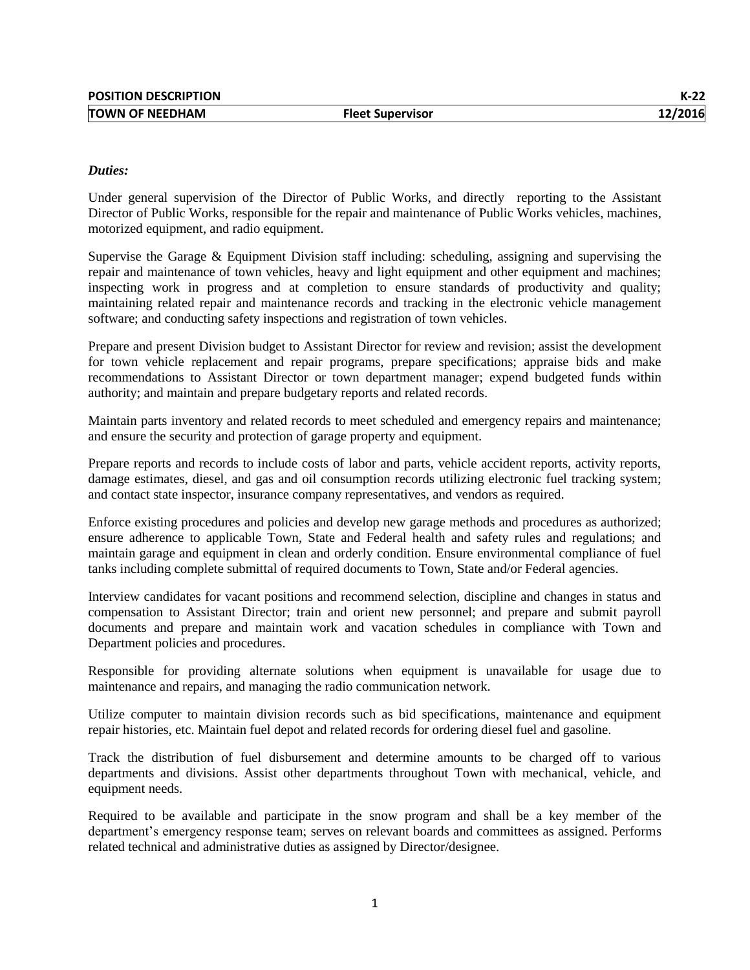## *Duties:*

Under general supervision of the Director of Public Works, and directly reporting to the Assistant Director of Public Works, responsible for the repair and maintenance of Public Works vehicles, machines, motorized equipment, and radio equipment.

Supervise the Garage & Equipment Division staff including: scheduling, assigning and supervising the repair and maintenance of town vehicles, heavy and light equipment and other equipment and machines; inspecting work in progress and at completion to ensure standards of productivity and quality; maintaining related repair and maintenance records and tracking in the electronic vehicle management software; and conducting safety inspections and registration of town vehicles.

Prepare and present Division budget to Assistant Director for review and revision; assist the development for town vehicle replacement and repair programs, prepare specifications; appraise bids and make recommendations to Assistant Director or town department manager; expend budgeted funds within authority; and maintain and prepare budgetary reports and related records.

Maintain parts inventory and related records to meet scheduled and emergency repairs and maintenance; and ensure the security and protection of garage property and equipment.

Prepare reports and records to include costs of labor and parts, vehicle accident reports, activity reports, damage estimates, diesel, and gas and oil consumption records utilizing electronic fuel tracking system; and contact state inspector, insurance company representatives, and vendors as required.

Enforce existing procedures and policies and develop new garage methods and procedures as authorized; ensure adherence to applicable Town, State and Federal health and safety rules and regulations; and maintain garage and equipment in clean and orderly condition. Ensure environmental compliance of fuel tanks including complete submittal of required documents to Town, State and/or Federal agencies.

Interview candidates for vacant positions and recommend selection, discipline and changes in status and compensation to Assistant Director; train and orient new personnel; and prepare and submit payroll documents and prepare and maintain work and vacation schedules in compliance with Town and Department policies and procedures.

Responsible for providing alternate solutions when equipment is unavailable for usage due to maintenance and repairs, and managing the radio communication network.

Utilize computer to maintain division records such as bid specifications, maintenance and equipment repair histories, etc. Maintain fuel depot and related records for ordering diesel fuel and gasoline.

Track the distribution of fuel disbursement and determine amounts to be charged off to various departments and divisions. Assist other departments throughout Town with mechanical, vehicle, and equipment needs.

Required to be available and participate in the snow program and shall be a key member of the department's emergency response team; serves on relevant boards and committees as assigned. Performs related technical and administrative duties as assigned by Director/designee.